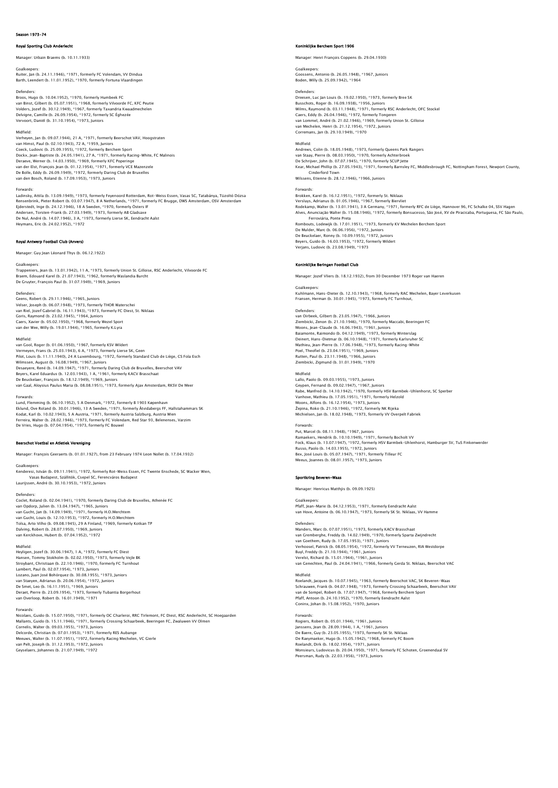## Season 1973-74

## Royal Sporting Club Anderlecht

Manager: Urbain Braems (b. 10.11.1933)

## Goalkeepers:

Ruiter, Jan (b. 24.11.1946), \*1971, formerly FC Volendam, VV Dindua Barth, Leendert (b. 11.01.1952), \*1970, formerly Fortuna Vlaardingen

Defenders: Broos, Hugo (b. 10.04.1952), \*1970, formerly Humbeek FC van Binst, Gilbert (b. 05.07.1951), \*1968, formerly Vilvoorde FC, KFC Peutie<br>Volders, Jozef (b. 30.12.1949), \*1967, formerly Taxandria Kwaadmechelen<br>Delvigne, Camille (b. 26.09.1954), \*1972, formerly SC Éghezée<br>Vervoort, D

### Midfield:

Verheyen, Jan (b. 09.07.1944), 21 A, \*1971, formerly Beerschot VAV, Hoogstraten van Himst, Paul (b. 02.10.1943), 72 A, \*1959, Juniors<br>Coeck, Ludovic (b. 25.09.1955), \*1972, formerly Berchem Sport<br>Dockx, Jean-Baptiste (b. 24.05.1941), 27 A, \*1971, formerly Racing-White, FC Malinois<br>Deraeve, Werner (b. van der Elst, François Jean (b. 01.12.1954), \*1971, formerly VCE Mazenzele De Bolle, Eddy (b. 26.09.1949), \*1972, formerly Daring Club de Bruxelles van den Bosch, Roland (b. 17.09.1953), \*1973, Juniors

## Forwards:

Ladinsky, Attila (b. 13.09.1949), \*1973, formerly Feyenoord Rotterdam, Rot-Weiss Essen, Vasas SC, Tatabánya, Tüzoltó Dózsa<br>Rensenbrink, Pieter Robert (b. 03.07.1947), 8 A Netherlands, \*1971, formerly FC Brugge, DWS Amsterd Heymans, Eric (b. 24.02.1952), \*1972

## Royal Antwerp Football Club (An

Manager: Guy Jean Léonard Thys (b. 06.12.1922)

### Goalkeepe

Trappeniers, Jean (b. 13.01.1942), 11 A, \*1973, formerly Union St. Gilloise, RSC Anderlecht, Vilvoorde FC Braem, Edouard Karel (b. 21.07.1943), \*1962, formerly Waslandia Burcht De Gruyter, François Paul (b. 31.07.1949), \*1969, Juniors

## Defenders:

Geens, Robert (b. 29.11.1946), \*1965, Juniors Velser, Joseph (b. 06.07.1948), \*1973, formerly THOR Waterschei van Riel, Jozef Gabriel (b. 16.11.1943), \*1973, formerly FC Diest, St. Niklaas Goris, Raymond (b. 23.02.1945), \*1964, Juniors Caers, Xavier (b. 05.02.1950), \*1968, formerly Wezel Sport van der Wee, Willy (b. 19.01.1944), \*1965, formerly K.Lyra

## Midfield:

van Gool, Roger (b. 01.06.1950), \*1967, formerly KSV Wildert Vermeyen, Frans (b. 25.03.1943), 6 A, \*1973, formerly Lierse SK, Geen<br>Pilot, Louis (b. 11.11.1940), 24 A Luxembourg, \*1972, formerly Standard Club de Liège, CS Fola Esch<br>Wilmssen, August (b. 16.08.1949), \*1967, Juniors<br>Des De Beuckelaer, François (b. 18.12.1949), \*1969, Juniors van Gaal, Aloysius Paulus Maria (b. 08.08.1951), \*1973, formerly Ajax Amsterdam, RKSV De Meer

Forwards: Lund, Flemming (b. 06.10.1952), 5 A Denmark, \*1972, formerly B 1903 Køpenhavn Eklund, Ove Roland (b. 30.01.1946), 13 A Sweden, \*1971, formerly Atvidabergs FF, Hallstahammars SK<br>Kodat, Karl (b. 10.02.1943), 5 A Austria, \*1971, formerly Austria Salzburg, Austria Wien<br>Ferreira, Walter (b. 28.02.1946),

# Beerschot Voetbal en Atletiek Vereniging

Manager: François Geeraerts (b. 01.01.1927), from 23 February 1974 Leon Nollet (b. 17.04.1932)

### Goalkeepers:

Kenderesi, István (b. 09.11.1941), \*1972, formerly Rot-Weiss Essen, FC Twente Enschede, SC Wacker Wien, Vasas Budapest, Szállitók, Csepel SC, Ferencváros Budapest Laurijssen, André (b. 30.10.1953), \*1972, Juniors

### Defenders:

Coclet, Roland (b. 02.04.1941), \*1970, formerly Daring Club de Bruxelles, Athenée FC van Opdorp, Julien (b. 13.04.1947), \*1965, Juniors van Gucht, Jan (b. 14.09.1949), \*1971, formerly H.O.Merchtem<br>van Gucht, Louis (b. 12.10.1953), \*1972, formerly H.O.Merchtem<br>Tolsa, Arto Vilho (b. 09.08.1945), 29 A Finland, \*1969, formerly Kotkan TP<br>Dalving, Robert (b. 28. van Kerckhove, Hubert (b. 07.04.1952), \*1972

Midfield: Heyligen, Jozef (b. 30.06.1947), 1 A, \*1972, formerly FC Diest Hansen, Tommy Stokholm (b. 02.02.1950), \*1973, formerly Vejle BK Stroybant, Christiaan (b. 22.10.1946), \*1970, formerly FC Turnhout<br>Lambert, Paul (b. 02.07.1954), \*1973, Juniors<br>Lozano, Juan José Bohórquez (b. 30.08.1955), \*1973, Juniors<br>van Staeyen, Adrianus (b. 20.06.1954), \*1972, Jun Deraet, Pierre (b. 23.09.1954), \*1973, formerly Tubantia Borgerhout van Overloop, Robert (b. 16.01.1949), \*1971

## Forwards:

Nicolaes, Guido (b. 15.07.1950), \*1971, formerly OC Charleroi, RRC Tirlemont, FC Diest, RSC Anderlecht, SC Hoegaarden Mallants, Guido (b. 15.11.1946), \*1971, formerly Crossing Schaarbeek, Beeringen FC, Zwaluwen VV Olmen<br>Cornelis, Walter (b. 09.03.1955), \*1973, Juniors<br>Delcorde, Christian (b. 07.01.1953), \*1971, formerly RES Aubange<br>Meeuws

### klijke Berchem Sport 1906

Manager: Henri François Coppens (b. 29.04.1930)

Goalkeepers: Goossens, Antonio (b. 26.05.1948), \*1967, Juniors Boden, Willy (b. 25.09.1942), \*1964

Defenders: Dreesen, Luc Jan Louis (b. 19.02.1950), \*1973, formerly Bree SK Busschots, Roger (b. 16.09.1938), \*1956, Juniors Wilms, Raymond (b. 03.11.1948), \*1971, formerly RSC Anderlecht, OFC Stockel Caers, Eddy (b. 26.04.1946), \*1972, formerly Tongeren van Lommel, André (b. 21.02.1946), \*1969, formerly Union St. Gilloise van Mechelen, Henri (b. 21.12.1954), \*1972, Juniors Corremans, Jan (b. 29.10.1949), \*1970

Midfield:<br>Andrews, Colin (b. 18.05.1948), \*1973, formerly Queens Park Rangers<br>van Staay, Pierre (b. 08.03.1950), \*1970, formerly Achterbroek<br>De Schrijver, John (b. 07.07.1945), \*1970, formerly SCUP Jette Kear, Michael Phillip (b. 27.05.1943), \*1971, formerly Barnsley FC, Middlesbrough FC, Nottingham Forest, Newport County, Cinderford Town Wilssens, Etienne (b. 28.12.1946), \*1966, Juniors

# Forwards:

Brokken, Karel (b. 16.12.1951), \*1972, formerly St. Niklaas Versluys, Adrianus (b. 01.05.1946), \*1967, formerly Biervliet<br>Rodekamp, Walter (b. 13.01.1941), 3 A Germany, \*1971, formerly RFC de Liège, Hannover 96, FC Schalke 04, SSV Hagen<br>Alves, Anunciação Walter (b. 15.08.1946), \*19 Rombouts, Lodewijk (b. 17.01.1951), \*1973, formerly KV Mechelen Berchem Sport De Mulder, Marc (b. 06.06.1956), \*1972, Juniors De Beuckelaer, Ronny (b. 10.09.1955), \*1972, Juniors Beyers, Guido (b. 16.03.1953), \*1972, formerly Wildert Verjans, Ludovic (b. 23.08.1949), \*1973

## Koninklijke Beringen Football Club

Manager: Jozef Vliers (b. 18.12.1932), from 30 December 1973 Roger van Haeren

Goalkeepers Kuhlmann, Hans-Dieter (b. 12.10.1943), \*1968, formerly RAC Mechelen, Bayer Leverkusen Fransen, Herman (b. 30.01.1945), \*1973, formerly FC Turnhout,

### Defenders:

van Oirbeek, Gilbert (b. 23.05.1947), \*1966, Juniors<br>Ziembicki, Zenon (b. 21.10.1946), \*1970, formerly Maccabi, Beeringen FC<br>Moons, Jean-Claude (b. 16.06.1943), \*1961, Juniors<br>Baiamonte, Raimondo (b. 04.12.1949), \*1973, fo Poel, Theofiel (b. 23.04.1951), \*1969, Juniors Rutten, Paul (b. 23.11.1948), \*1966, Juniors Ziembicki, Zigmund (b. 31.01.1949), \*1970

### Midfield:

Lallo, Paolo (b. 09.03.1955), \*1973, Juniors Geypen, Fernand (b. 09.02.1947), \*1967, Juniors<br>Rabe, Manfred (b. 14.10.1942), \*1970, formerly HSV Barmbek–Uhlenhorst, SC Sperbei<br>Vanhove, Mathieu (b. 17.05.1951), \*1971, formerly Helzold Moons, Alfons (b. 16.12.1954), \*1973, Juniors Žepina, Roko (b. 21.10.1946), \*1972, formerly NK Rijeka Michielsen, Jan (b. 18.02.1948), \*1973, formerly VV Overpelt Fabriek

## Forwards:

Put, Marcel (b. 08.11.1948), \*1967, Juniors<br>Ramaekers, Hendrik (b. 10.10.1949), \*1971, formerly Bocholt VV<br>Fock, Klaus (b. 13.07.1947), \*1972, formerly HSV Barmbek–Uhlenhorst, Hamburger SV, TuS Finkenwerdeı<br>Russo, Paolo (b Bex, José Louis (b. 05.07.1947), \*1971, formerly Tilleur FC Meeus, Joannes (b. 08.01.1957), \*1973, Juniors

### Sportkring Beveren-Waas

Manager: Henricus Matthjis (b. 09.09.1925)

## Goalkeepers:

Pfaff, Jean-Marie (b. 04.12.1953), \*1971, formerly Eendracht Aalst van Hove, Antoine (b. 06.10.1947), \*1973, formerly SK St. Niklaas, VV Hammerly SK St. Niklaas, VV Hammerly SK St. Niklaas, VV Hammerly SK St. Niklaas, VV Hammerly SK St. Niklaas, VV Hammerly SK St. Niklaas, VV Hammerly SK

### Defender

Manders, Marc (b. 07.07.1951), \*1973, formerly KACV Brasschaat van Grenberghe, Freddy (b. 14.02.1949), \*1970, formerly Sparta Zwijndrecht<br>van Goethem, Rudy (b. 17.05.1953), \*1971, Juniors<br>Verhoosel, Patrick (b. 08.05.1954), \*1972, formerly VV Terneuzen, RIA Westdorpe<br>Buyl, Freddy (b. van Genechten, Paul (b. 24.04.1941), \*1966, formerly Gerda St. Niklaas, Beerschot VAC

Midfield: Roelandt, Jacques (b. 10.07.1945), \*1963, formerly Beerschot VAC, SK Beveren-Waas Schrauwen, Frank (b. 04.07.1948), \*1973, formerly Crossing Schaarbeek, Beerschot VAV van de Sompel, Robert (b. 17.07.1947), \*1968, formerly Berchem Sport Pfaff, Antoon (b. 24.10.1952), \*1970, formerly Eendracht Aalst Coninx, Johan (b. 15.08.1952), \*1970, Juniors

## Forwards:

Rogiers, Robert (b. 05.01.1944), \*1961, Juniors Janssens, Jean (b. 28.09.1944), 1 A, \*1961, Juniors<br>De Baere, Guy (b. 23.05.1955), \*1973, formerly SK St. Niklaas<br>De Raeymaeker, Hugo (b. 15.05.1942), \*1968, formerly FC Boom<br>Roelandt, Dirk (b. 18.02.1954), \*1971, Juniors<br> Peersman, Rudy (b. 22.03.1956), \*1973, Juniors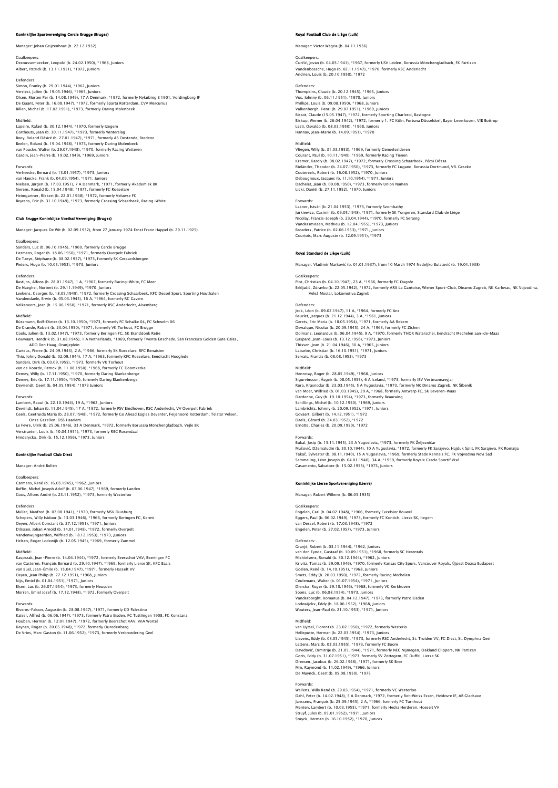# ke Sportvereniging Cercle Brugge (Bruges

Manager: Johan Grijzenhout (b. 22.12.1932)

## Goalkeeper

Decoussemaecker, Leopold (b. 24.02.1950), \*1968, Juniors Albert, Patrick (b. 13.11.1951), \*1972, Juniors

Defenders:<br>Simon, Franky (b. 29.01.1944), \*1962, Juniors<br>Verriest, Julien (b. 19.05.1946), \*1965, Juniors<br>Olsen, Morten Per (b. 14.08.1949), 17 A Denmark, \*1972, formerly Nykøbing B 1901, Vordingborg IF De Quant, Peter (b. 16.08.1947), \*1972, formerly Sparta Rotterdam, CVV Mercurius Billen, Michel (b. 17.02.1951), \*1973, formerly Daring Molenbeek

Midfield: Lapeire, Rafael (b. 30.12.1944), \*1970, formerly Izegem Corthouts, Jean (b. 30.11.1947), \*1973, formerly Winterslag Boey, Roland Désiré (b. 27.01.1947), \*1971, formerly AS Oostende, Bredene<br>Beelen, Roland (b. 19.04.1948), \*1973, formerly Daring Molenbeek<br>van Poucke, Walter (b. 29.07.1948), \*1970, formerly Racing Wetteren<br>Gardin, Jean–Pi

Forwards: Verheecke, Bernard (b. 13.01.1957), \*1973, Juniors<br>van Haecke, Frank (b. 04.09.1954), \*1971, Juniors<br>Nielsen, Jørgen (b. 17.03.1951), 7 A Denmark, \*1971, formerly Akademisk BK<br>Sierens, Ronald (b. 15.04.1948), \*1971, former Heimgartner, Rikkert (b. 22.01.1948), \*1972, formerly Veluwse FC Beyrens, Eric (b. 31.10.1949), \*1973, formerly Crossing Schaarbeek, Racing-White

## Club Brugge Koninklijke Voetbal Vereniging (Bruges)

Manager: Jacques De Wit (b. 02.09.1932), from 27 January 1974 Ernst Franz Happel (b. 29.11.1925)

Goalkeeper Sanders, Luc (b. 06.10.1945), \*1969, formerly Cercle Brugge Hermans, Roger (b. 18.06.1950), \*1971, formerly Overpelt Fabriek De Taeye, Stéphane (b. 08.02.1957), \*1973, formerly SK Geraardsbergen Pieters, Hugo (b. 10.05.1953), \*1973, Juniors

### Defenders:

Bastijns, Alfons (b. 28.01.1947), 1 A, \*1967, formerly Racing-White, FC Meer De Naeghel, Norbert (b. 29.11.1949), \*1970, Juniors Leekens, Georges (b. 18.05.1949), \*1972, formerly Crossing Schaarbeek, KFC Dessel Sport, Sporting Houthalen<br>Vandendaele, Erwin (b. 05.03.1945), 16 A, \*1964, formerly RC Gavere<br>Velkeneers, Jean (b. 15.06.1950), \*1971, forme

### Midfield:

Rüssmann, Rolf-Dieter (b. 13.10.1950), \*1973, formerly FC Schalke 04, FC Schwelm 06 De Grande, Robert (b. 23.04.1950), \*1971, formerly VK Torhout, FC Brugge<br>Cools, Julien (b. 13.02.1947), \*1973, formerly Beringen FC, SK Branddonk Retie<br>Houwaart, Hendrik (b. 31.08.1945), 1 A Netherlands, \*1969, formerly Tw ADO Den Haag, Oranjeplein<br>Carteus, Pierre (h. 24.09.1943), 2 A. \*1966, formerly SK Roeselare, RFC Renaisier Carteus, Pierre (b. 24.09.1943), 2 A, + 1966, formerly SK Roseslare, RFC Renaisien<br>Thio, Johny Donald (b. 02.09.1944), 17 A, + 1963, formerly KFC Roeselare, Eendracht Hooglede<br>Sanders, Dirk (b. 03.09.1955), \*1973, formerly

Forwards: Lambert, Raoul (b. 22.10.1944), 19 A, \*1962, Juniors Devrindt, Johan (b. 15.04.1945), 17 A, \*1972, formerly PSV Eindhoven, RSC Anderlecht, VV Overpelt Fabriek Geels, Geetruida Maria (b. 28.07.1948), \*1972, formerly Go Ahead Eagles Deventer, Feijenoord Rotterdam, Telstar Velsen, Onze Gazellen, DSS Haarlem Le Fevre, Ulrik (b. 25.06.1946), 33 A Denmark, \*1972, formerly Borussia Mönchengladbach, Vejle BK

Verstraeten, Louis (b. 10.04.1951), \*1973, formerly RBC Rosendaal Hinderyckx, Dirk (b. 15.12.1956), \*1973, Juniors

## .<br>Koninklijke Football Club Diest

Manager: André Bollen

Goalkeepers:<br>Carmans, René (b. 16.03.1945), \*1962, Juniors<br>Boffin, Michel Joseph Adolf (b. 07.06.1947), \*1969, formerly Landen<br>Goos, Alfons André (b. 23.11.1952), \*1973, formerly Westerloo

### Defenders:

Müller, Manfred (b. 07.08.1941), \*1970, formerly MSV Duisburg<br>Schepers, Willy Isidoor (b. 13.03.1946), \*1966, formerly Beringen FC, Kermt<br>Oeyen, Albert Constant (b. 27.12.1951), \*1971, Juniors<br>Dilissen, Johan Arnold (b. 14 Vandenwijngaerden, Wilfried (b. 18.12.1953), \*1973, Juniors Helsen, Roger Lodewijk (b. 12.05.1945), \*1969, formerly Zammel

Midfield: Kasprzak, Jean-Pierre (b. 14.04.1944), \*1972, formerly Beerschot VAV, Beeringen FC van Casteren, François Bernard (b. 29.10.1947), \*1969, formerly Lierse SK, KFC Baals<br>van Buel, Jean-Émile (b. 15.04.1947), \*1971, formerly Hasselt VV<br>Oeyen, Jean Philip (b. 27.12.1951), \*1968, Juniors<br>Nijs, Emiel (b. 06.07 Morren, Emiel Jozef (b. 17.12.1948), \*1972, formerly Overpelt

Forwards: Riveros-Falcon, Augustin (b. 28.08.1947), \*1971, formerly CD Palestino Kaiser, Alfred (b. 06.06.1947), \*1973, formerly Patro Eisden, FC Tuttlingen 1908, FC Konstanz<br>Houben, Herman (b. 12.01.1947), \*1972, formerly Beerschot VAV, VnA Wortel<br>Keynen, Roger (b. 20.05.1948), \*1972, formerly Ouroden

## Royal Football Club de Liège (Luik)

Manager: Victor Wégria (b. 04.11.1936)

Goalkeepers:<br>Ćurčić, Jovan (b. 04.05.1941), \*1967, formerly USV Leiden, Borussia Mönchengladbach, FK Partizar<br>Vandenbossche, Hugo (b. 02.11.1947), \*1970, formerly RSC Anderlecht Andrien, Louis (b. 20.10.1950), \*1972

Defenders: Thompkins, Claude (b. 20.12.1945), \*1965, Juniors Vos, Johnny (b. 06.11.1951), \*1970, Juniors Phillips, Louis (b. 09.08.1950), \*1968, Juniors Valkenborgh, Henri (b. 29.07.1951), \*1969, Juniors Bissot, Claude (15.05.1947), \*1972, formerly Sporting Charleroi, Bastogne<br>Biskup, Werner (b. 26.04.1942), \*1972, formerly 1. FC Köln, Fortuna Düsseldorf, Bayer Leverkusen, VfB Bottrop<br>Lesti, Osvaldo (b. 08.03.1950), \*1968, Hannay, Jean-Marie (b. 14.09.1951), \*1970 Midfield:<br>Vliegen, Willy (b. 31.03.1953), \*1969, formerly Genoelselderen<br>Courant, Raul (b. 10.11.1949), \*1959, formerly Racing Tienen<br>Kremer, Karoly (b. 08.02.1947), \*1972, formerly Crossing Schaarbeek, Pécsi Dózsa

Rielander, Theodor (b. 24.07.1950), \*1973, formerly FC Lugano, Borussia Dortmund, VfL Geseke<br>Coutereels, Robert (b. 16.08.1952), \*1970, Juniors<br>Debougnoux, Jacques (b. 11.10.1954), \*1971, Juniors<br>Dachelet, Jean (b. 09.08.1

## Forwards:

Lakner, István (b. 21.04.1953), \*1973, formerly Szombathy<br>Jurkiewicz, Casimir (b. 09.05.1948), \*1971, formerly SK Tongeren, Standard Club de Liège<br>Nicolay, Francis–Joseph (b. 23.04.1944), \*1970, formerly FC Serainq Vandersmissen, Mathieu (b. 12.04.1955), \*1973, Juniors Broeders, Patrice (b. 02.06.1953), \*1971, Juniors Courtois, Marc Auguste (b. 12.09.1951), \*1973

## Royal Standard de Liège (Luik)

Manager: Vladimir Marković (b. 01.01.1937), from 10 March 1974 Nedeljko Bulatović (b. 19.04.1938)

Goalkeepers:<br>Piot, Christian (b. 04.10.1947), 23 A, \*1966, formerly FC Ougrée<br>Brkljačić, Zdravko (b. 22.05.1942), \*1972, formerly ARA La Gantoise, Wiener Sport-Club, Dinamo Zagreb, NK Karlovac, NK Vojvodina, Velež Mostar, Lokomotiva Zagreb

Defenders: Jeck, Léon (b. 09.02.1947), 11 A, \*1964, formerly FC Ans Beurlet, Jacques (b. 21.12.1944), 3 A, \*1961, Juniors<br>Gerets, Eric Maria (b. 18.05.1954), \*1971, formerly AA Rekem<br>Dewalque, Nicolas (b. 20.09.1945), 24 A, \*1963, formerly FC Zichen<br>Dolmans, Leonardus (b. 06.04.1945), 9 A, Gaspard, Jean-Louis (b. 13.12.1956), \*1973, Juniors Thissen, Jean (b. 21.04.1946), 30 A, \*1965, Juniors Labarbe, Christian (b. 16.10.1951), \*1971, Juniors Servais, Francis (b. 08.08.1953), \*1973

# Midfield:

Henrotay, Roger (b. 28.05.1949), \*1968, Juniors Sigurvinsson, Asgeir (b. 08.05.1955), 6 A Iceland, \*1973, formerly IBV Vestmannaeyjar<br>Rora, Krasnodar (b. 23.03.1945), 5 A Yugoslavia, \*1973, formerly NK Dinamo Zagreb, NK Ŝibenik<br>van Moer, Wilfried (b. 01.03.1945), 29 A, Schillings, Michel (b. 10.12.1950), \*1969, Juniors Lambrichts, Johnny (b. 20.09.1952), \*1971, Juniors Govaert, Gilbert (b. 14.12.1951), \*1972 Daels, Gérard (b. 24.03.1952), \*1972 Ernotte, Charles (b. 20.09.1950), \*1972

### Forwards:

Bukal, Josip (b. 15.11.1945), 23 A Yugoslavia, \*1973, formerly FK Željezničar<br>Mušović, Džemaludin (b. 30.10.1944), 10 A Yugoslavia, \*1972, formerly FK Sarajevo, Hajduk Split, FK Sarajevo, FK Romaija<br>Takač, Sylvester (b. 08

## Koninklijke Lierse Sportvereniging (Lier

Manager: Robert Willems (b. 06.05.1935)

Goalkeepers: Engelen, Carl (b. 04.02.1948), \*1966, formerly Excelsior Bouwel<br>Eggers, Paul (b. 06.02.1949), \*1973, formerly FC Kontich, Lierse SK, Itegem<br>van Dessel, Robert (b. 17.03.1948), \*1972 Engelen, Peter (b. 27.02.1957), \*1973, Juniors

Defenders: Granjé, Robert (b. 03.11.1944), \*1962, Juniors van den Eynde, Gustaaf (b. 10.09.1951), \*1968, formerly SC Herentals Michielsens, Ronald (b. 30.12.1944), \*1962, Juniors Krivitz, Tamas (b. 29.09.1946), \*1970, formerly Kansas City Spurs, Vancouver Royals, Ujpest Dozsa Budapes!<br>Goelen, René (b. 14.10.1951), \*1968, Juniors<br>Smets, Eddy (b. 20.03.1950), \*1972, formerly Racing Mechelen<br>Ceulemans Soons, Luc (b. 06.08.1954), \*1973, Juniors<br>Vanderborght, Romanus (b. 04.12.1947), \*1973, formerly Patro Eisden<br>Lodewijckx, Eddy (b. 18.06.1952), \*1968, Juniors<br>Wouters, Jean-Paul (b. 21.10.1953), \*1971, Juniors

Midfield:<br>Van Uytsel, Florent (b. 23.02.1950), \*1972, formerly Westerlo<br>Helleputte, Herman (b. 22.03.1954), \*1973, Juniors<br>Lievens, Eddy (b. 03.05.1945), \*1973, formerly RSC Anderlecht, St. Truiden VV, FC Diest, St. Dymphn Goris, Eddy (b. 31.07.1951), \*1973, formerly SV Zottegem, FC Duffel, Lierse SK<br>Dreesen, Jacobus (b. 26.02.1948), \*1971, formerly SK Bree<br>Min, Raymond (b. 11.02.1949), \*1966, Juniors<br>De Muynck, Geert (b. 05.08.1950), \*1973<br>

## Forwards:

Wellens, Willy René (b. 29.03.1954), \*1971, formerly VC Westerloo<br>Dahl, Peter (b. 14.02.1948), 5 A Denmark, \*1972, formerly Rot-Weiss Essen, Hvidovre IF, AB Gladsaxe<br>Janssens, François (b. 25.09.1945), 2 A, \*1966, formerly Struyf, Jules (b. 05.01.1952), \*1971, Juniors Stuyck, Herman (b. 16.10.1952), \*1970, Juniors